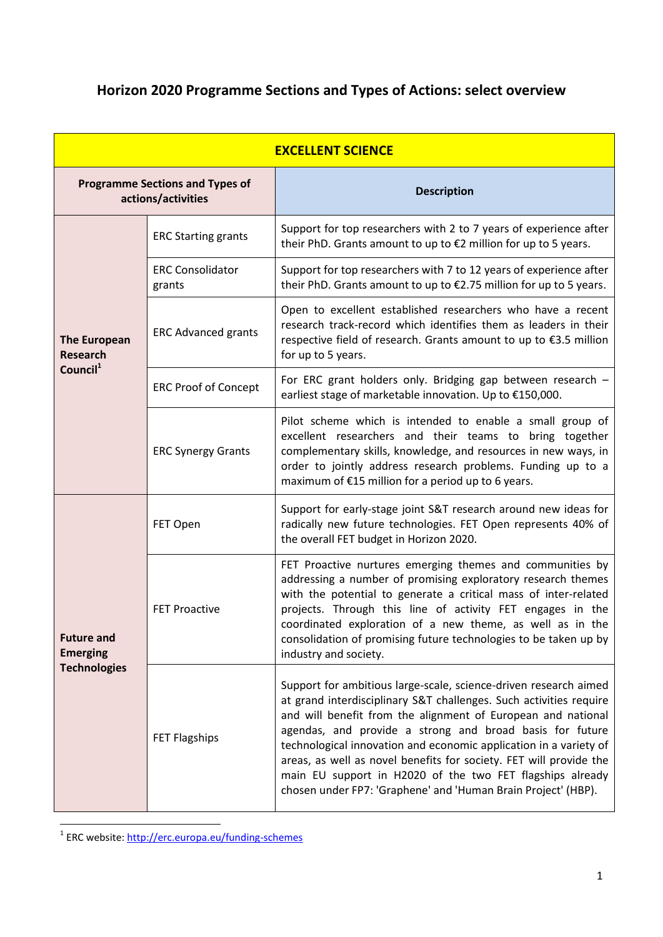# **Horizon 2020 Programme Sections and Types of Actions: select overview**

| <b>EXCELLENT SCIENCE</b>                                       |                                   |                                                                                                                                                                                                                                                                                                                                                                                                                                                                                                                                             |  |  |
|----------------------------------------------------------------|-----------------------------------|---------------------------------------------------------------------------------------------------------------------------------------------------------------------------------------------------------------------------------------------------------------------------------------------------------------------------------------------------------------------------------------------------------------------------------------------------------------------------------------------------------------------------------------------|--|--|
| <b>Programme Sections and Types of</b><br>actions/activities   |                                   | <b>Description</b>                                                                                                                                                                                                                                                                                                                                                                                                                                                                                                                          |  |  |
| <b>The European</b><br><b>Research</b><br>Council <sup>1</sup> | <b>ERC Starting grants</b>        | Support for top researchers with 2 to 7 years of experience after<br>their PhD. Grants amount to up to €2 million for up to 5 years.                                                                                                                                                                                                                                                                                                                                                                                                        |  |  |
|                                                                | <b>ERC Consolidator</b><br>grants | Support for top researchers with 7 to 12 years of experience after<br>their PhD. Grants amount to up to €2.75 million for up to 5 years.                                                                                                                                                                                                                                                                                                                                                                                                    |  |  |
|                                                                | <b>ERC Advanced grants</b>        | Open to excellent established researchers who have a recent<br>research track-record which identifies them as leaders in their<br>respective field of research. Grants amount to up to €3.5 million<br>for up to 5 years.                                                                                                                                                                                                                                                                                                                   |  |  |
|                                                                | <b>ERC Proof of Concept</b>       | For ERC grant holders only. Bridging gap between research -<br>earliest stage of marketable innovation. Up to €150,000.                                                                                                                                                                                                                                                                                                                                                                                                                     |  |  |
|                                                                | <b>ERC Synergy Grants</b>         | Pilot scheme which is intended to enable a small group of<br>excellent researchers and their teams to bring together<br>complementary skills, knowledge, and resources in new ways, in<br>order to jointly address research problems. Funding up to a<br>maximum of €15 million for a period up to 6 years.                                                                                                                                                                                                                                 |  |  |
| <b>Future and</b><br><b>Emerging</b><br><b>Technologies</b>    | FET Open                          | Support for early-stage joint S&T research around new ideas for<br>radically new future technologies. FET Open represents 40% of<br>the overall FET budget in Horizon 2020.                                                                                                                                                                                                                                                                                                                                                                 |  |  |
|                                                                | <b>FET Proactive</b>              | FET Proactive nurtures emerging themes and communities by<br>addressing a number of promising exploratory research themes<br>with the potential to generate a critical mass of inter-related<br>projects. Through this line of activity FET engages in the<br>coordinated exploration of a new theme, as well as in the<br>consolidation of promising future technologies to be taken up by<br>industry and society.                                                                                                                        |  |  |
|                                                                | <b>FET Flagships</b>              | Support for ambitious large-scale, science-driven research aimed<br>at grand interdisciplinary S&T challenges. Such activities require<br>and will benefit from the alignment of European and national<br>agendas, and provide a strong and broad basis for future<br>technological innovation and economic application in a variety of<br>areas, as well as novel benefits for society. FET will provide the<br>main EU support in H2020 of the two FET flagships already<br>chosen under FP7: 'Graphene' and 'Human Brain Project' (HBP). |  |  |

 1 ERC website:<http://erc.europa.eu/funding-schemes>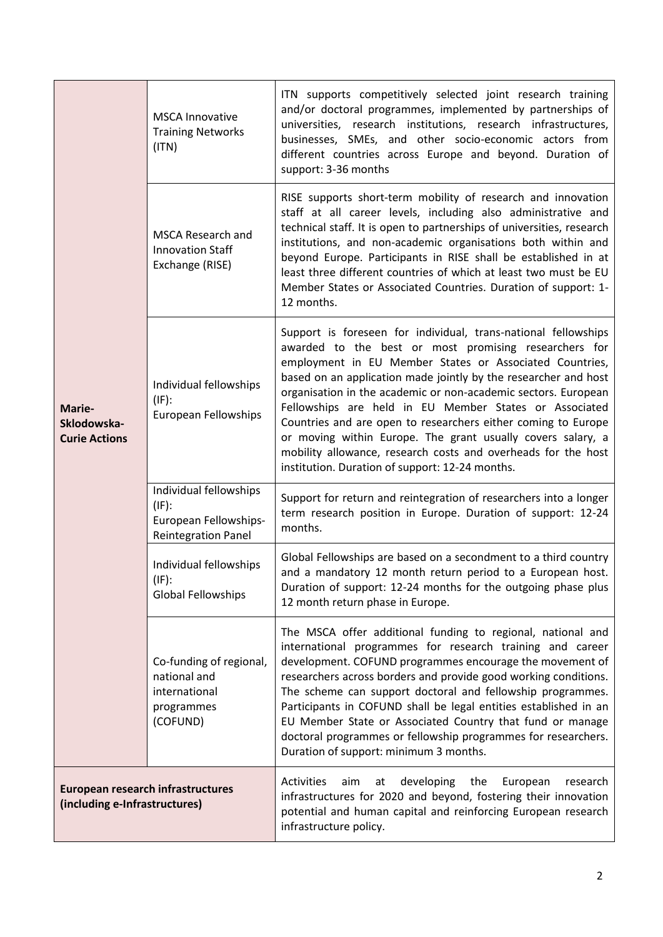| Marie-<br>Sklodowska-<br><b>Curie Actions</b>                             | <b>MSCA Innovative</b><br><b>Training Networks</b><br>(ITN)                               | ITN supports competitively selected joint research training<br>and/or doctoral programmes, implemented by partnerships of<br>universities, research institutions, research infrastructures,<br>businesses, SMEs, and other socio-economic actors from<br>different countries across Europe and beyond. Duration of<br>support: 3-36 months                                                                                                                                                                                                                                                                                            |
|---------------------------------------------------------------------------|-------------------------------------------------------------------------------------------|---------------------------------------------------------------------------------------------------------------------------------------------------------------------------------------------------------------------------------------------------------------------------------------------------------------------------------------------------------------------------------------------------------------------------------------------------------------------------------------------------------------------------------------------------------------------------------------------------------------------------------------|
|                                                                           | <b>MSCA Research and</b><br><b>Innovation Staff</b><br>Exchange (RISE)                    | RISE supports short-term mobility of research and innovation<br>staff at all career levels, including also administrative and<br>technical staff. It is open to partnerships of universities, research<br>institutions, and non-academic organisations both within and<br>beyond Europe. Participants in RISE shall be established in at<br>least three different countries of which at least two must be EU<br>Member States or Associated Countries. Duration of support: 1-<br>12 months.                                                                                                                                          |
|                                                                           | Individual fellowships<br>$(IF)$ :<br>European Fellowships                                | Support is foreseen for individual, trans-national fellowships<br>awarded to the best or most promising researchers for<br>employment in EU Member States or Associated Countries,<br>based on an application made jointly by the researcher and host<br>organisation in the academic or non-academic sectors. European<br>Fellowships are held in EU Member States or Associated<br>Countries and are open to researchers either coming to Europe<br>or moving within Europe. The grant usually covers salary, a<br>mobility allowance, research costs and overheads for the host<br>institution. Duration of support: 12-24 months. |
|                                                                           | Individual fellowships<br>$(IF)$ :<br>European Fellowships-<br><b>Reintegration Panel</b> | Support for return and reintegration of researchers into a longer<br>term research position in Europe. Duration of support: 12-24<br>months.                                                                                                                                                                                                                                                                                                                                                                                                                                                                                          |
|                                                                           | Individual fellowships<br>$(IF)$ :<br>Global Fellowships                                  | Global Fellowships are based on a secondment to a third country<br>and a mandatory 12 month return period to a European host.<br>Duration of support: 12-24 months for the outgoing phase plus<br>12 month return phase in Europe.                                                                                                                                                                                                                                                                                                                                                                                                    |
|                                                                           | Co-funding of regional,<br>national and<br>international<br>programmes<br>(COFUND)        | The MSCA offer additional funding to regional, national and<br>international programmes for research training and career<br>development. COFUND programmes encourage the movement of<br>researchers across borders and provide good working conditions.<br>The scheme can support doctoral and fellowship programmes.<br>Participants in COFUND shall be legal entities established in an<br>EU Member State or Associated Country that fund or manage<br>doctoral programmes or fellowship programmes for researchers.<br>Duration of support: minimum 3 months.                                                                     |
| <b>European research infrastructures</b><br>(including e-Infrastructures) |                                                                                           | Activities<br>developing<br>aim<br>the<br>European<br>research<br>at<br>infrastructures for 2020 and beyond, fostering their innovation<br>potential and human capital and reinforcing European research<br>infrastructure policy.                                                                                                                                                                                                                                                                                                                                                                                                    |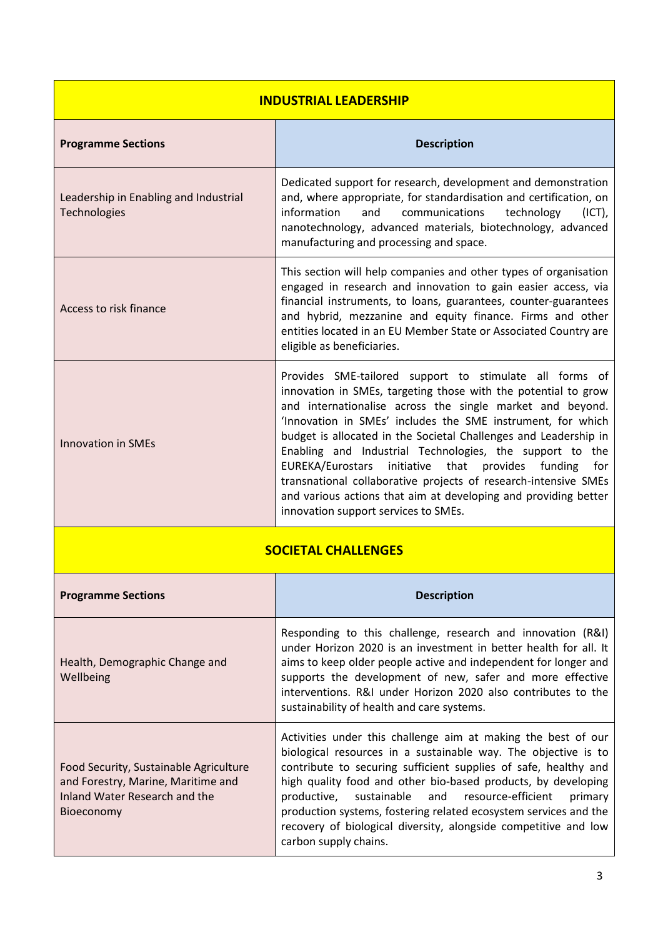| <b>INDUSTRIAL LEADERSHIP</b>                                                                                                |                                                                                                                                                                                                                                                                                                                                                                                                                                                                                                                                                                                                                                    |  |  |  |
|-----------------------------------------------------------------------------------------------------------------------------|------------------------------------------------------------------------------------------------------------------------------------------------------------------------------------------------------------------------------------------------------------------------------------------------------------------------------------------------------------------------------------------------------------------------------------------------------------------------------------------------------------------------------------------------------------------------------------------------------------------------------------|--|--|--|
| <b>Programme Sections</b>                                                                                                   | <b>Description</b>                                                                                                                                                                                                                                                                                                                                                                                                                                                                                                                                                                                                                 |  |  |  |
| Leadership in Enabling and Industrial<br><b>Technologies</b>                                                                | Dedicated support for research, development and demonstration<br>and, where appropriate, for standardisation and certification, on<br>information<br>and<br>communications<br>technology<br>$(ICT)$ ,<br>nanotechnology, advanced materials, biotechnology, advanced<br>manufacturing and processing and space.                                                                                                                                                                                                                                                                                                                    |  |  |  |
| Access to risk finance                                                                                                      | This section will help companies and other types of organisation<br>engaged in research and innovation to gain easier access, via<br>financial instruments, to loans, guarantees, counter-guarantees<br>and hybrid, mezzanine and equity finance. Firms and other<br>entities located in an EU Member State or Associated Country are<br>eligible as beneficiaries.                                                                                                                                                                                                                                                                |  |  |  |
| <b>Innovation in SMEs</b>                                                                                                   | Provides SME-tailored support to stimulate all forms of<br>innovation in SMEs, targeting those with the potential to grow<br>and internationalise across the single market and beyond.<br>'Innovation in SMEs' includes the SME instrument, for which<br>budget is allocated in the Societal Challenges and Leadership in<br>Enabling and Industrial Technologies, the support to the<br>EUREKA/Eurostars initiative that provides<br>funding<br>for<br>transnational collaborative projects of research-intensive SMEs<br>and various actions that aim at developing and providing better<br>innovation support services to SMEs. |  |  |  |
| <b>SOCIETAL CHALLENGES</b>                                                                                                  |                                                                                                                                                                                                                                                                                                                                                                                                                                                                                                                                                                                                                                    |  |  |  |
| <b>Programme Sections</b>                                                                                                   | <b>Description</b>                                                                                                                                                                                                                                                                                                                                                                                                                                                                                                                                                                                                                 |  |  |  |
| Health, Demographic Change and<br>Wellbeing                                                                                 | Responding to this challenge, research and innovation (R&I)<br>under Horizon 2020 is an investment in better health for all. It<br>aims to keep older people active and independent for longer and<br>supports the development of new, safer and more effective<br>interventions. R&I under Horizon 2020 also contributes to the<br>sustainability of health and care systems.                                                                                                                                                                                                                                                     |  |  |  |
| Food Security, Sustainable Agriculture<br>and Forestry, Marine, Maritime and<br>Inland Water Research and the<br>Bioeconomy | Activities under this challenge aim at making the best of our<br>biological resources in a sustainable way. The objective is to<br>contribute to securing sufficient supplies of safe, healthy and<br>high quality food and other bio-based products, by developing<br>productive,<br>sustainable<br>resource-efficient<br>and<br>primary<br>production systems, fostering related ecosystem services and the<br>recovery of biological diversity, alongside competitive and low<br>carbon supply chains.                                                                                                                          |  |  |  |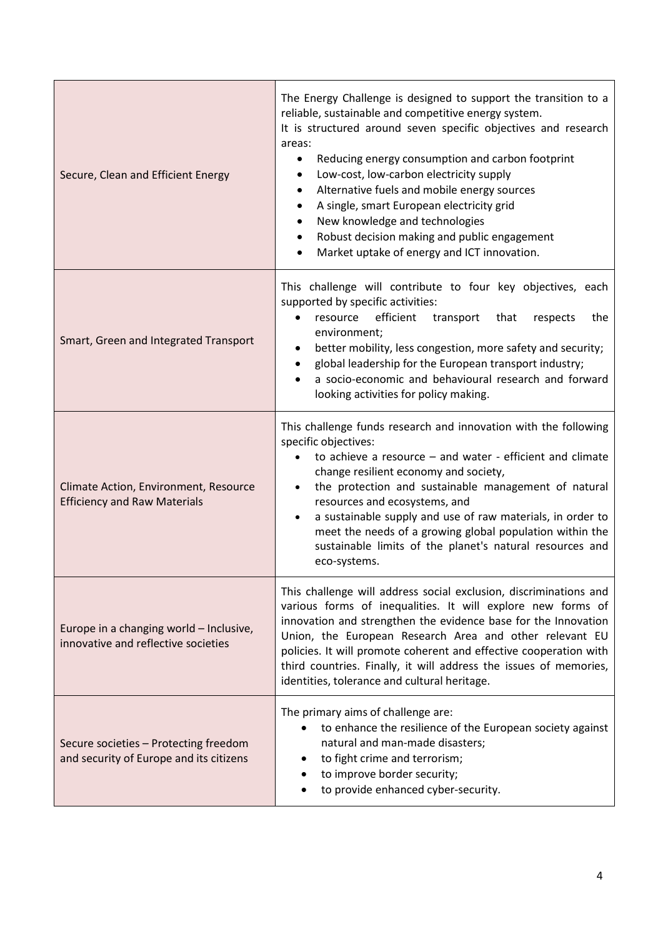| Secure, Clean and Efficient Energy                                               | The Energy Challenge is designed to support the transition to a<br>reliable, sustainable and competitive energy system.<br>It is structured around seven specific objectives and research<br>areas:<br>Reducing energy consumption and carbon footprint<br>$\bullet$<br>Low-cost, low-carbon electricity supply<br>Alternative fuels and mobile energy sources<br>A single, smart European electricity grid<br>New knowledge and technologies<br>Robust decision making and public engagement<br>Market uptake of energy and ICT innovation. |
|----------------------------------------------------------------------------------|----------------------------------------------------------------------------------------------------------------------------------------------------------------------------------------------------------------------------------------------------------------------------------------------------------------------------------------------------------------------------------------------------------------------------------------------------------------------------------------------------------------------------------------------|
| Smart, Green and Integrated Transport                                            | This challenge will contribute to four key objectives, each<br>supported by specific activities:<br>efficient<br>resource<br>transport<br>that<br>respects<br>the<br>$\bullet$<br>environment;<br>better mobility, less congestion, more safety and security;<br>٠<br>global leadership for the European transport industry;<br>a socio-economic and behavioural research and forward<br>looking activities for policy making.                                                                                                               |
| Climate Action, Environment, Resource<br><b>Efficiency and Raw Materials</b>     | This challenge funds research and innovation with the following<br>specific objectives:<br>to achieve a resource $-$ and water - efficient and climate<br>$\bullet$<br>change resilient economy and society,<br>the protection and sustainable management of natural<br>resources and ecosystems, and<br>a sustainable supply and use of raw materials, in order to<br>$\bullet$<br>meet the needs of a growing global population within the<br>sustainable limits of the planet's natural resources and<br>eco-systems.                     |
| Europe in a changing world - Inclusive,<br>innovative and reflective societies   | This challenge will address social exclusion, discriminations and<br>various forms of inequalities. It will explore new forms of<br>innovation and strengthen the evidence base for the Innovation<br>Union, the European Research Area and other relevant EU<br>policies. It will promote coherent and effective cooperation with<br>third countries. Finally, it will address the issues of memories,<br>identities, tolerance and cultural heritage.                                                                                      |
| Secure societies - Protecting freedom<br>and security of Europe and its citizens | The primary aims of challenge are:<br>to enhance the resilience of the European society against<br>natural and man-made disasters;<br>to fight crime and terrorism;<br>to improve border security;<br>to provide enhanced cyber-security.                                                                                                                                                                                                                                                                                                    |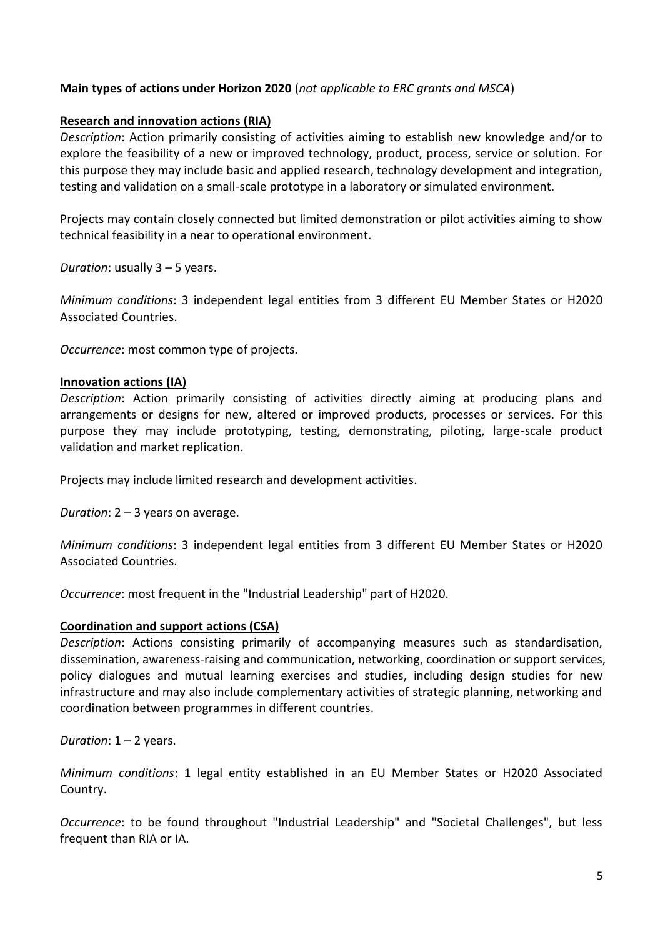## **Main types of actions under Horizon 2020** (*not applicable to ERC grants and MSCA*)

## **Research and innovation actions (RIA)**

*Description*: Action primarily consisting of activities aiming to establish new knowledge and/or to explore the feasibility of a new or improved technology, product, process, service or solution. For this purpose they may include basic and applied research, technology development and integration, testing and validation on a small-scale prototype in a laboratory or simulated environment.

Projects may contain closely connected but limited demonstration or pilot activities aiming to show technical feasibility in a near to operational environment.

*Duration*: usually 3 – 5 years.

*Minimum conditions*: 3 independent legal entities from 3 different EU Member States or H2020 Associated Countries.

*Occurrence*: most common type of projects.

#### **Innovation actions (IA)**

*Description*: Action primarily consisting of activities directly aiming at producing plans and arrangements or designs for new, altered or improved products, processes or services. For this purpose they may include prototyping, testing, demonstrating, piloting, large-scale product validation and market replication.

Projects may include limited research and development activities.

*Duration*: 2 – 3 years on average.

*Minimum conditions*: 3 independent legal entities from 3 different EU Member States or H2020 Associated Countries.

*Occurrence*: most frequent in the "Industrial Leadership" part of H2020.

## **Coordination and support actions (CSA)**

*Description*: Actions consisting primarily of accompanying measures such as standardisation, dissemination, awareness-raising and communication, networking, coordination or support services, policy dialogues and mutual learning exercises and studies, including design studies for new infrastructure and may also include complementary activities of strategic planning, networking and coordination between programmes in different countries.

*Duration*: 1 – 2 years.

*Minimum conditions*: 1 legal entity established in an EU Member States or H2020 Associated Country.

*Occurrence*: to be found throughout "Industrial Leadership" and "Societal Challenges", but less frequent than RIA or IA.